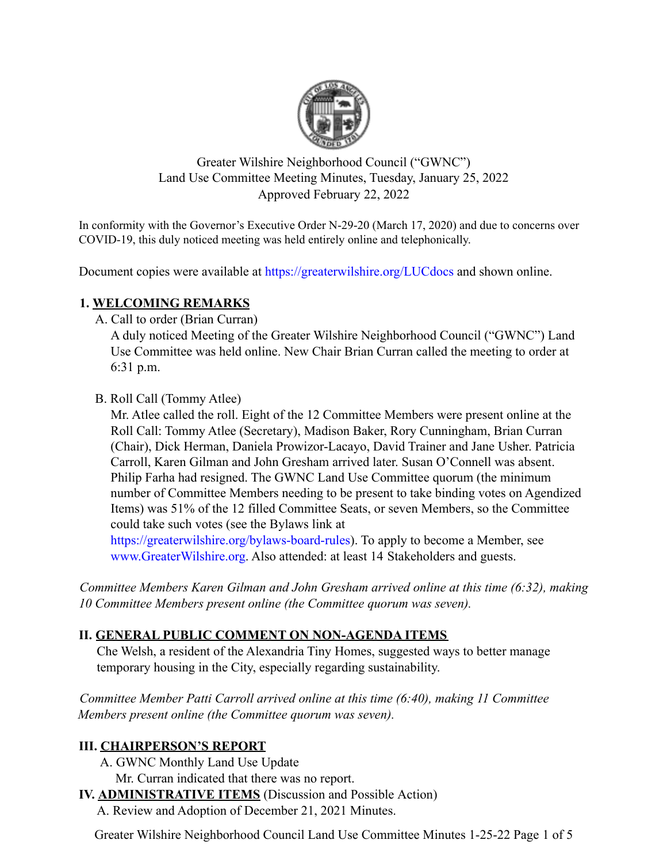

Greater Wilshire Neighborhood Council ("GWNC") Land Use Committee Meeting Minutes, Tuesday, January 25, 2022 Approved February 22, 2022

In conformity with the Governor's Executive Order N-29-20 (March 17, 2020) and due to concerns over COVID-19, this duly noticed meeting was held entirely online and telephonically.

Document copies were available at https://greaterwilshire.org/LUCdocs and shown online.

## **1. WELCOMING REMARKS**

A. Call to order (Brian Curran)

A duly noticed Meeting of the Greater Wilshire Neighborhood Council ("GWNC") Land Use Committee was held online. New Chair Brian Curran called the meeting to order at 6:31 p.m.

B. Roll Call (Tommy Atlee)

Mr. Atlee called the roll. Eight of the 12 Committee Members were present online at the Roll Call: Tommy Atlee (Secretary), Madison Baker, Rory Cunningham, Brian Curran (Chair), Dick Herman, Daniela Prowizor-Lacayo, David Trainer and Jane Usher. Patricia Carroll, Karen Gilman and John Gresham arrived later. Susan O'Connell was absent. Philip Farha had resigned. The GWNC Land Use Committee quorum (the minimum number of Committee Members needing to be present to take binding votes on Agendized Items) was 51% of the 12 filled Committee Seats, or seven Members, so the Committee could take such votes (see the Bylaws link at

https://greaterwilshire.org/bylaws-board-rules). To apply to become a Member, see www.GreaterWilshire.org. Also attended: at least 14 Stakeholders and guests.

*Committee Members Karen Gilman and John Gresham arrived online at this time (6:32), making 10 Committee Members present online (the Committee quorum was seven).*

# **II. GENERAL PUBLIC COMMENT ON NON-AGENDA ITEMS**

Che Welsh, a resident of the Alexandria Tiny Homes, suggested ways to better manage temporary housing in the City, especially regarding sustainability.

*Committee Member Patti Carroll arrived online at this time (6:40), making 11 Committee Members present online (the Committee quorum was seven).*

# **III. CHAIRPERSON'S REPORT**

- A. GWNC Monthly Land Use Update
	- Mr. Curran indicated that there was no report.
- **IV. ADMINISTRATIVE ITEMS** (Discussion and Possible Action)
	- A. Review and Adoption of December 21, 2021 Minutes.

Greater Wilshire Neighborhood Council Land Use Committee Minutes 1-25-22 Page 1 of 5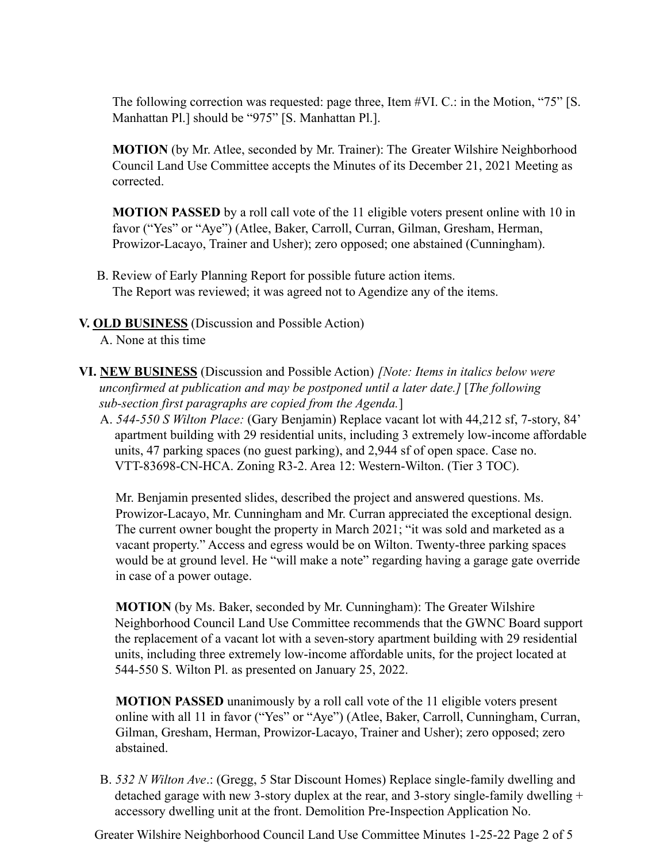The following correction was requested: page three, Item #VI. C.: in the Motion, "75" [S. Manhattan Pl.] should be "975" [S. Manhattan Pl.].

**MOTION** (by Mr. Atlee, seconded by Mr. Trainer): The Greater Wilshire Neighborhood Council Land Use Committee accepts the Minutes of its December 21, 2021 Meeting as corrected.

**MOTION PASSED** by a roll call vote of the 11 eligible voters present online with 10 in favor ("Yes" or "Aye") (Atlee, Baker, Carroll, Curran, Gilman, Gresham, Herman, Prowizor-Lacayo, Trainer and Usher); zero opposed; one abstained (Cunningham).

B. Review of Early Planning Report for possible future action items. The Report was reviewed; it was agreed not to Agendize any of the items.

#### **V. OLD BUSINESS** (Discussion and Possible Action)

A. None at this time

- **VI. NEW BUSINESS** (Discussion and Possible Action) *[Note: Items in italics below were unconfirmed at publication and may be postponed until a later date.]* [*The following sub-section first paragraphs are copied from the Agenda.*]
	- A. *544-550 S Wilton Place:* (Gary Benjamin) Replace vacant lot with 44,212 sf, 7-story, 84' apartment building with 29 residential units, including 3 extremely low-income affordable units, 47 parking spaces (no guest parking), and 2,944 sf of open space. Case no. VTT-83698-CN-HCA. Zoning R3-2. Area 12: Western-Wilton. (Tier 3 TOC).

Mr. Benjamin presented slides, described the project and answered questions. Ms. Prowizor-Lacayo, Mr. Cunningham and Mr. Curran appreciated the exceptional design. The current owner bought the property in March 2021; "it was sold and marketed as a vacant property." Access and egress would be on Wilton. Twenty-three parking spaces would be at ground level. He "will make a note" regarding having a garage gate override in case of a power outage.

**MOTION** (by Ms. Baker, seconded by Mr. Cunningham): The Greater Wilshire Neighborhood Council Land Use Committee recommends that the GWNC Board support the replacement of a vacant lot with a seven-story apartment building with 29 residential units, including three extremely low-income affordable units, for the project located at 544-550 S. Wilton Pl. as presented on January 25, 2022.

**MOTION PASSED** unanimously by a roll call vote of the 11 eligible voters present online with all 11 in favor ("Yes" or "Aye") (Atlee, Baker, Carroll, Cunningham, Curran, Gilman, Gresham, Herman, Prowizor-Lacayo, Trainer and Usher); zero opposed; zero abstained.

B. *532 N Wilton Ave*.: (Gregg, 5 Star Discount Homes) Replace single-family dwelling and detached garage with new 3-story duplex at the rear, and 3-story single-family dwelling + accessory dwelling unit at the front. Demolition Pre-Inspection Application No.

Greater Wilshire Neighborhood Council Land Use Committee Minutes 1-25-22 Page 2 of 5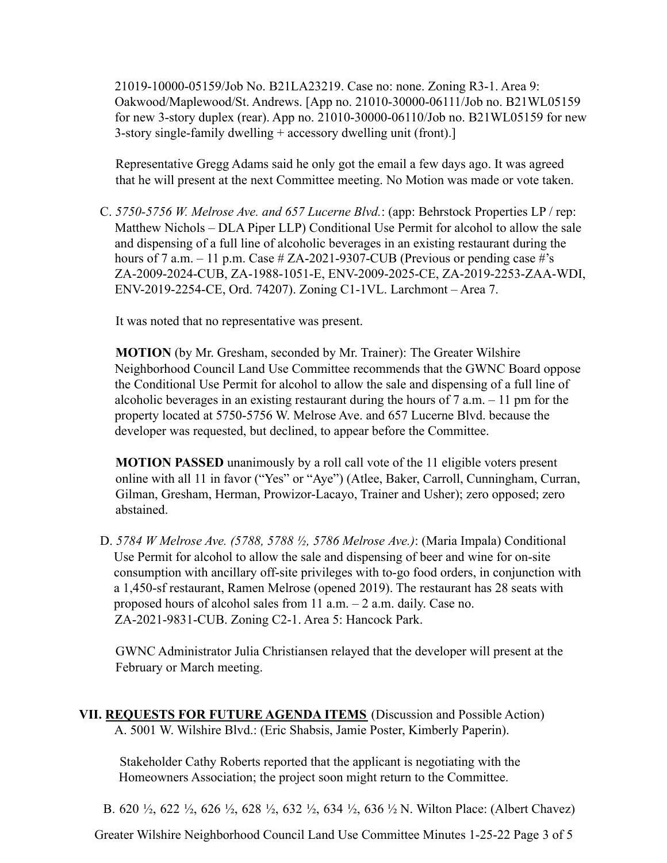21019-10000-05159/Job No. B21LA23219. Case no: none. Zoning R3-1. Area 9: Oakwood/Maplewood/St. Andrews. [App no. 21010-30000-06111/Job no. B21WL05159 for new 3-story duplex (rear). App no. 21010-30000-06110/Job no. B21WL05159 for new 3-story single-family dwelling + accessory dwelling unit (front).]

Representative Gregg Adams said he only got the email a few days ago. It was agreed that he will present at the next Committee meeting. No Motion was made or vote taken.

C. *5750-5756 W. Melrose Ave. and 657 Lucerne Blvd.*: (app: Behrstock Properties LP / rep: Matthew Nichols – DLA Piper LLP) Conditional Use Permit for alcohol to allow the sale and dispensing of a full line of alcoholic beverages in an existing restaurant during the hours of 7 a.m.  $-11$  p.m. Case # ZA-2021-9307-CUB (Previous or pending case #'s ZA-2009-2024-CUB, ZA-1988-1051-E, ENV-2009-2025-CE, ZA-2019-2253-ZAA-WDI, ENV-2019-2254-CE, Ord. 74207). Zoning C1-1VL. Larchmont – Area 7.

It was noted that no representative was present.

**MOTION** (by Mr. Gresham, seconded by Mr. Trainer): The Greater Wilshire Neighborhood Council Land Use Committee recommends that the GWNC Board oppose the Conditional Use Permit for alcohol to allow the sale and dispensing of a full line of alcoholic beverages in an existing restaurant during the hours of 7 a.m. – 11 pm for the property located at 5750-5756 W. Melrose Ave. and 657 Lucerne Blvd. because the developer was requested, but declined, to appear before the Committee.

**MOTION PASSED** unanimously by a roll call vote of the 11 eligible voters present online with all 11 in favor ("Yes" or "Aye") (Atlee, Baker, Carroll, Cunningham, Curran, Gilman, Gresham, Herman, Prowizor-Lacayo, Trainer and Usher); zero opposed; zero abstained.

D. *5784 W Melrose Ave. (5788, 5788 ½, 5786 Melrose Ave.)*: (Maria Impala) Conditional Use Permit for alcohol to allow the sale and dispensing of beer and wine for on-site consumption with ancillary off-site privileges with to-go food orders, in conjunction with a 1,450-sf restaurant, Ramen Melrose (opened 2019). The restaurant has 28 seats with proposed hours of alcohol sales from 11 a.m. – 2 a.m. daily. Case no. ZA-2021-9831-CUB. Zoning C2-1. Area 5: Hancock Park.

GWNC Administrator Julia Christiansen relayed that the developer will present at the February or March meeting.

## **VII. REQUESTS FOR FUTURE AGENDA ITEMS** (Discussion and Possible Action) A. 5001 W. Wilshire Blvd.: (Eric Shabsis, Jamie Poster, Kimberly Paperin).

Stakeholder Cathy Roberts reported that the applicant is negotiating with the Homeowners Association; the project soon might return to the Committee.

B. 620 ½, 622 ½, 626 ½, 628 ½, 632 ½, 634 ½, 636 ½ N. Wilton Place: (Albert Chavez)

Greater Wilshire Neighborhood Council Land Use Committee Minutes 1-25-22 Page 3 of 5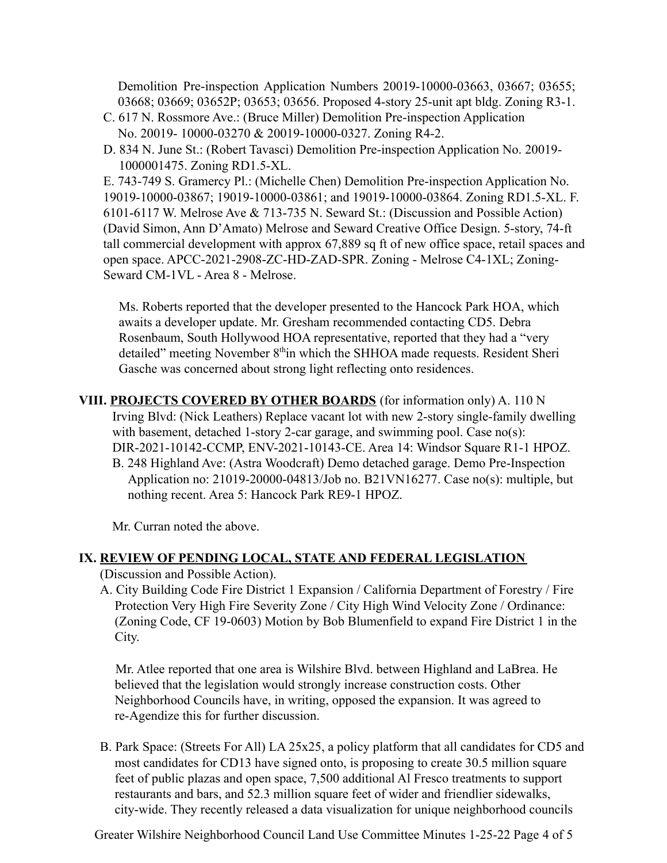Demolition Pre-inspection Application Numbers 20019-10000-03663, 03667; 03655; 03668; 03669; 03652P; 03653; 03656. Proposed 4-story 25-unit apt bldg. Zoning R3-1.

- C. 617 N. Rossmore Ave.: (Bruce Miller) Demolition Pre-inspection Application No. 20019- 10000-03270 & 20019-10000-0327. Zoning R4-2.
- D. 834 N. June St.: (Robert Tavasci) Demolition Pre-inspection Application No. 20019- 1000001475. Zoning RD1.5-XL.

E. 743-749 S. Gramercy Pl.: (Michelle Chen) Demolition Pre-inspection Application No. 19019-10000-03867; 19019-10000-03861; and 19019-10000-03864. Zoning RD1.5-XL. F. 6101-6117 W. Melrose Ave & 713-735 N. Seward St.: (Discussion and Possible Action) (David Simon, Ann D'Amato) Melrose and Seward Creative Office Design. 5-story, 74-ft tall commercial development with approx 67,889 sq ft of new office space, retail spaces and open space. APCC-2021-2908-ZC-HD-ZAD-SPR. Zoning - Melrose C4-1XL; Zoning-Seward CM-1VL - Area 8 - Melrose.

Ms. Roberts reported that the developer presented to the Hancock Park HOA, which awaits a developer update. Mr. Gresham recommended contacting CD5. Debra Rosenbaum, South Hollywood HOA representative, reported that they had a "very detailed" meeting November 8<sup>th</sup>in which the SHHOA made requests. Resident Sheri Gasche was concerned about strong light reflecting onto residences.

**VIII. PROJECTS COVERED BY OTHER BOARDS** (for information only) A. 110 N Irving Blvd: (Nick Leathers) Replace vacant lot with new 2-story single-family dwelling with basement, detached 1-story 2-car garage, and swimming pool. Case no(s): DIR-2021-10142-CCMP, ENV-2021-10143-CE. Area 14: Windsor Square R1-1 HPOZ. B. 248 Highland Ave: (Astra Woodcraft) Demo detached garage. Demo Pre-Inspection Application no: 21019-20000-04813/Job no. B21VN16277. Case no(s): multiple, but nothing recent. Area 5: Hancock Park RE9-1 HPOZ.

Mr. Curran noted the above.

#### **IX. REVIEW OF PENDING LOCAL, STATE AND FEDERAL LEGISLATION**

(Discussion and Possible Action).

A. City Building Code Fire District 1 Expansion / California Department of Forestry / Fire Protection Very High Fire Severity Zone / City High Wind Velocity Zone / Ordinance: (Zoning Code, CF 19-0603) Motion by Bob Blumenfield to expand Fire District 1 in the City.

Mr. Atlee reported that one area is Wilshire Blvd. between Highland and LaBrea. He believed that the legislation would strongly increase construction costs. Other Neighborhood Councils have, in writing, opposed the expansion. It was agreed to re-Agendize this for further discussion.

B. Park Space: (Streets For All) LA 25x25, a policy platform that all candidates for CD5 and most candidates for CD13 have signed onto, is proposing to create 30.5 million square feet of public plazas and open space, 7,500 additional Al Fresco treatments to support restaurants and bars, and 52.3 million square feet of wider and friendlier sidewalks, city-wide. They recently released a data visualization for unique neighborhood councils

Greater Wilshire Neighborhood Council Land Use Committee Minutes 1-25-22 Page 4 of 5